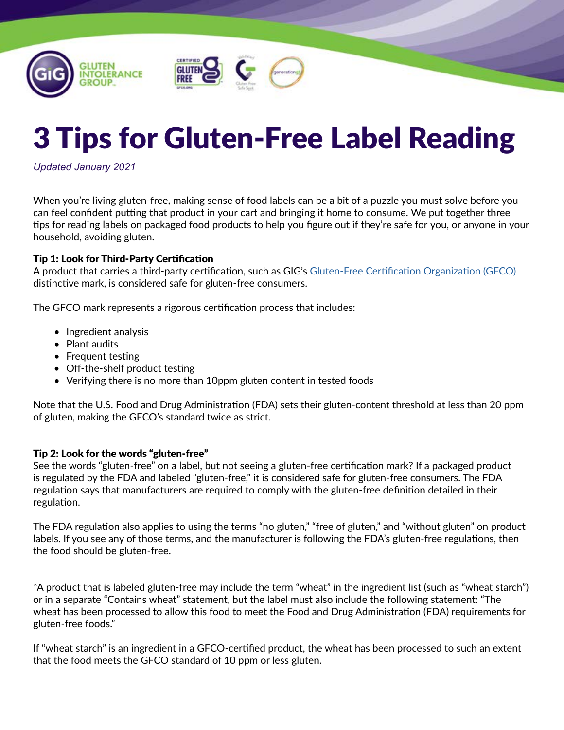



*Updated January 2021*

When you're living gluten-free, making sense of food labels can be a bit of a puzzle you must solve before you can feel confident putting that product in your cart and bringing it home to consume. We put together three tips for reading labels on packaged food products to help you figure out if they're safe for you, or anyone in your household, avoiding gluten.

#### Tip 1: Look for Third-Party Certification

A product that carries a third-party certification, such as GIG's [Gluten-Free Certification Organization \(GFCO\)](https://gfco.org/) distinctive mark, is considered safe for gluten-free consumers.

The GFCO mark represents a rigorous certification process that includes:

- Ingredient analysis
- Plant audits
- Frequent testing
- Off-the-shelf product testing
- Verifying there is no more than 10ppm gluten content in tested foods

Note that the U.S. Food and Drug Administration (FDA) sets their gluten-content threshold at less than 20 ppm of gluten, making the GFCO's standard twice as strict.

#### Tip 2: Look for the words "gluten-free"

See the words "gluten-free" on a label, but not seeing a gluten-free certification mark? If a packaged product is regulated by the FDA and labeled "gluten-free," it is considered safe for gluten-free consumers. The FDA regulation says that manufacturers are required to comply with the gluten-free definition detailed in their regulation.

The FDA regulation also applies to using the terms "no gluten," "free of gluten," and "without gluten" on product labels. If you see any of those terms, and the manufacturer is following the FDA's gluten-free regulations, then the food should be gluten-free.

\*A product that is labeled gluten-free may include the term "wheat" in the ingredient list (such as "wheat starch") or in a separate "Contains wheat" statement, but the label must also include the following statement: "The wheat has been processed to allow this food to meet the Food and Drug Administration (FDA) requirements for gluten-free foods."

If "wheat starch" is an ingredient in a GFCO-certified product, the wheat has been processed to such an extent that the food meets the GFCO standard of 10 ppm or less gluten.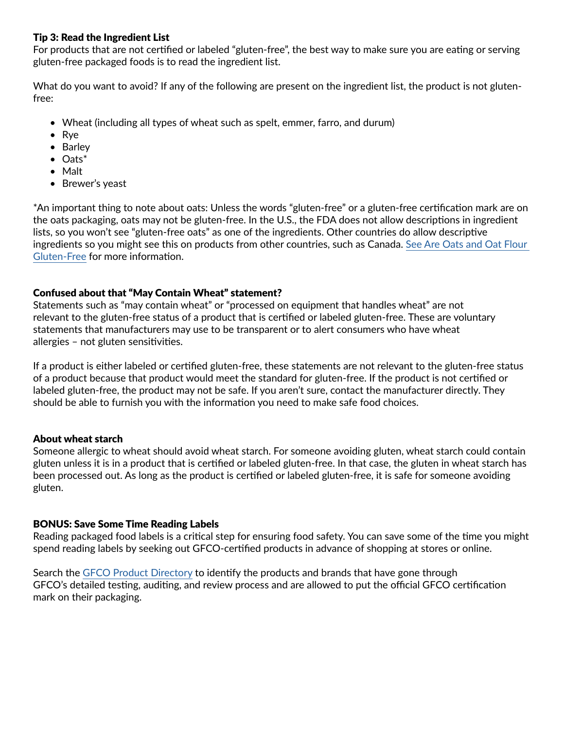## Tip 3: Read the Ingredient List

For products that are not certified or labeled "gluten-free", the best way to make sure you are eating or serving gluten-free packaged foods is to read the ingredient list.

What do you want to avoid? If any of the following are present on the ingredient list, the product is not glutenfree:

- Wheat (including all types of wheat such as spelt, emmer, farro, and durum)
- Rye
- Barley
- Oats\*
- Malt
- Brewer's yeast

\*An important thing to note about oats: Unless the words "gluten-free" or a gluten-free certification mark are on the oats packaging, oats may not be gluten-free. In the U.S., the FDA does not allow descriptions in ingredient lists, so you won't see "gluten-free oats" as one of the ingredients. Other countries do allow descriptive ingredients so you might see this on products from other countries, such as Canada. [See Are Oats and Oat Flour](https://gluten.org/2020/11/20/are-oats-and-oat-flour-gluten-free/)  [Gluten-Free](https://gluten.org/2020/11/20/are-oats-and-oat-flour-gluten-free/) for more information.

## Confused about that "May Contain Wheat" statement?

Statements such as "may contain wheat" or "processed on equipment that handles wheat" are not relevant to the gluten-free status of a product that is certified or labeled gluten-free. These are voluntary statements that manufacturers may use to be transparent or to alert consumers who have wheat allergies – not gluten sensitivities.

If a product is either labeled or certified gluten-free, these statements are not relevant to the gluten-free status of a product because that product would meet the standard for gluten-free. If the product is not certified or labeled gluten-free, the product may not be safe. If you aren't sure, contact the manufacturer directly. They should be able to furnish you with the information you need to make safe food choices.

## About wheat starch

Someone allergic to wheat should avoid wheat starch. For someone avoiding gluten, wheat starch could contain gluten unless it is in a product that is certified or labeled gluten-free. In that case, the gluten in wheat starch has been processed out. As long as the product is certified or labeled gluten-free, it is safe for someone avoiding gluten.

## BONUS: Save Some Time Reading Labels

Reading packaged food labels is a critical step for ensuring food safety. You can save some of the time you might spend reading labels by seeking out GFCO-certified products in advance of shopping at stores or online.

Search the [GFCO Product Directory](https://gfco.org/product-directory/) to identify the products and brands that have gone through GFCO's detailed testing, auditing, and review process and are allowed to put the official GFCO certification mark on their packaging.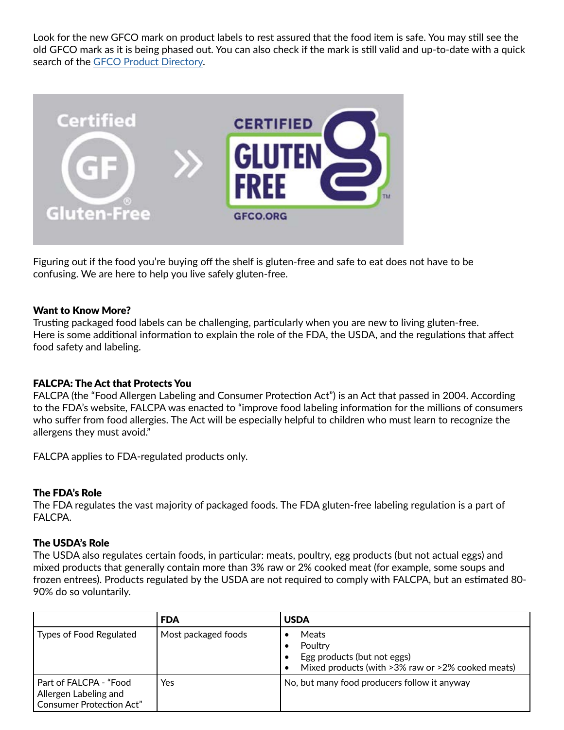Look for the new GFCO mark on product labels to rest assured that the food item is safe. You may still see the old GFCO mark as it is being phased out. You can also check if the mark is still valid and up-to-date with a quick search of the [GFCO Product Directory](https://gfco.org/product-directory/).



Figuring out if the food you're buying off the shelf is gluten-free and safe to eat does not have to be confusing. We are here to help you live safely gluten-free.

## Want to Know More?

Trusting packaged food labels can be challenging, particularly when you are new to living gluten-free. Here is some additional information to explain the role of the FDA, the USDA, and the regulations that affect food safety and labeling.

#### FALCPA: The Act that Protects You

FALCPA (the "Food Allergen Labeling and Consumer Protection Act") is an Act that passed in 2004. According to the FDA's website, FALCPA was enacted to "improve food labeling information for the millions of consumers who suffer from food allergies. The Act will be especially helpful to children who must learn to recognize the allergens they must avoid."

FALCPA applies to FDA-regulated products only.

#### The FDA's Role

The FDA regulates the vast majority of packaged foods. The FDA gluten-free labeling regulation is a part of FALCPA.

#### The USDA's Role

The USDA also regulates certain foods, in particular: meats, poultry, egg products (but not actual eggs) and mixed products that generally contain more than 3% raw or 2% cooked meat (for example, some soups and frozen entrees). Products regulated by the USDA are not required to comply with FALCPA, but an estimated 80- 90% do so voluntarily.

|                                                                                    | <b>FDA</b>          | <b>USDA</b>                                                                                          |
|------------------------------------------------------------------------------------|---------------------|------------------------------------------------------------------------------------------------------|
| Types of Food Regulated                                                            | Most packaged foods | Meats<br>Poultry<br>Egg products (but not eggs)<br>Mixed products (with >3% raw or >2% cooked meats) |
| Part of FALCPA - "Food<br>Allergen Labeling and<br><b>Consumer Protection Act"</b> | Yes                 | No, but many food producers follow it anyway                                                         |